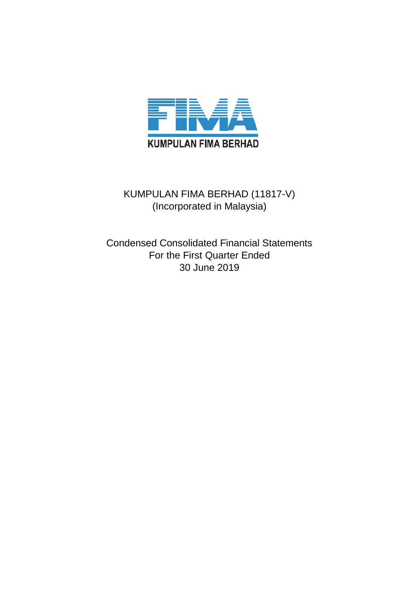

# KUMPULAN FIMA BERHAD (11817-V) (Incorporated in Malaysia)

Condensed Consolidated Financial Statements For the First Quarter Ended 30 June 2019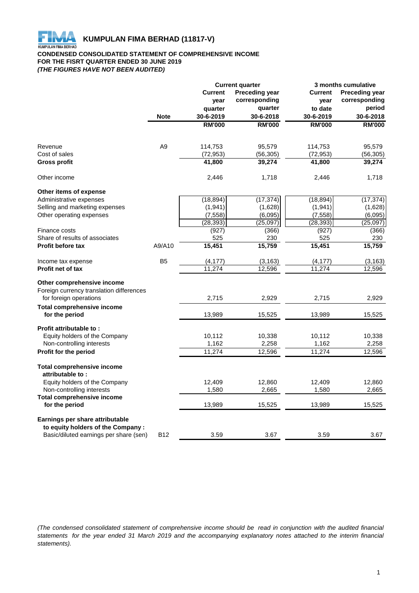

### **CONDENSED CONSOLIDATED STATEMENT OF COMPREHENSIVE INCOME FOR THE FISRT QUARTER ENDED 30 JUNE 2019** *(THE FIGURES HAVE NOT BEEN AUDITED)*

|                                                     |                | <b>Current quarter</b> |                       |                | <b>3 months cumulative</b> |  |  |
|-----------------------------------------------------|----------------|------------------------|-----------------------|----------------|----------------------------|--|--|
|                                                     |                | <b>Current</b>         | <b>Preceding year</b> | <b>Current</b> | <b>Preceding year</b>      |  |  |
|                                                     |                | year                   | corresponding         | year           | corresponding              |  |  |
|                                                     |                | quarter                | quarter               | to date        | period                     |  |  |
|                                                     | <b>Note</b>    | 30-6-2019              | 30-6-2018             | 30-6-2019      | 30-6-2018                  |  |  |
|                                                     |                | <b>RM'000</b>          | <b>RM'000</b>         | <b>RM'000</b>  | <b>RM'000</b>              |  |  |
|                                                     |                |                        |                       |                |                            |  |  |
| Revenue                                             | A <sub>9</sub> | 114,753                | 95,579                | 114,753        | 95,579                     |  |  |
| Cost of sales                                       |                | (72, 953)              | (56, 305)             | (72, 953)      | (56, 305)                  |  |  |
| Gross profit                                        |                | 41,800                 | 39,274                | 41,800         | 39,274                     |  |  |
| Other income                                        |                | 2,446                  | 1,718                 | 2,446          | 1,718                      |  |  |
| Other items of expense                              |                |                        |                       |                |                            |  |  |
| Administrative expenses                             |                | (18, 894)              | (17, 374)             | (18, 894)      | (17, 374)                  |  |  |
| Selling and marketing expenses                      |                | (1, 941)               | (1,628)               | (1, 941)       | (1,628)                    |  |  |
| Other operating expenses                            |                | (7, 558)               | (6,095)               | (7, 558)       | (6,095)                    |  |  |
|                                                     |                | (28, 393)              | (25,097)              | (28, 393)      | (25,097)                   |  |  |
| Finance costs                                       |                | (927)                  | (366)                 | (927)          | (366)                      |  |  |
| Share of results of associates                      |                | 525                    | 230                   | 525            | 230                        |  |  |
| <b>Profit before tax</b>                            | A9/A10         | 15,451                 | 15,759                | 15,451         | 15,759                     |  |  |
| Income tax expense                                  | B <sub>5</sub> | (4, 177)               | (3, 163)              | (4, 177)       | (3, 163)                   |  |  |
| <b>Profit net of tax</b>                            |                | 11,274                 | 12,596                | 11,274         | 12,596                     |  |  |
| Other comprehensive income                          |                |                        |                       |                |                            |  |  |
| Foreign currency translation differences            |                |                        |                       |                |                            |  |  |
| for foreign operations                              |                | 2,715                  | 2,929                 | 2,715          | 2,929                      |  |  |
| <b>Total comprehensive income</b>                   |                |                        |                       |                |                            |  |  |
| for the period                                      |                | 13,989                 | 15,525                | 13,989         | 15,525                     |  |  |
| Profit attributable to:                             |                |                        |                       |                |                            |  |  |
| Equity holders of the Company                       |                | 10,112                 | 10,338                | 10,112         | 10,338                     |  |  |
| Non-controlling interests                           |                | 1,162                  | 2,258                 | 1,162          | 2,258                      |  |  |
| Profit for the period                               |                | 11,274                 | 12,596                | 11,274         | 12,596                     |  |  |
| <b>Total comprehensive income</b>                   |                |                        |                       |                |                            |  |  |
| attributable to:                                    |                |                        |                       |                |                            |  |  |
| Equity holders of the Company                       |                | 12,409                 | 12,860                | 12,409         | 12,860                     |  |  |
| Non-controlling interests                           |                | 1,580                  | 2,665                 | 1,580          | 2,665                      |  |  |
| <b>Total comprehensive income</b><br>for the period |                | 13,989                 | 15,525                | 13,989         | 15,525                     |  |  |
| Earnings per share attributable                     |                |                        |                       |                |                            |  |  |
| to equity holders of the Company :                  |                |                        |                       |                |                            |  |  |
| Basic/diluted earnings per share (sen)              | <b>B12</b>     | 3.59                   | 3.67                  | 3.59           | 3.67                       |  |  |

(The condensed consolidated statement of comprehensive income should be read in conjunction with the audited financial statements for the year ended 31 March 2019 and the accompanying explanatory notes attached to the interim financial *statements).*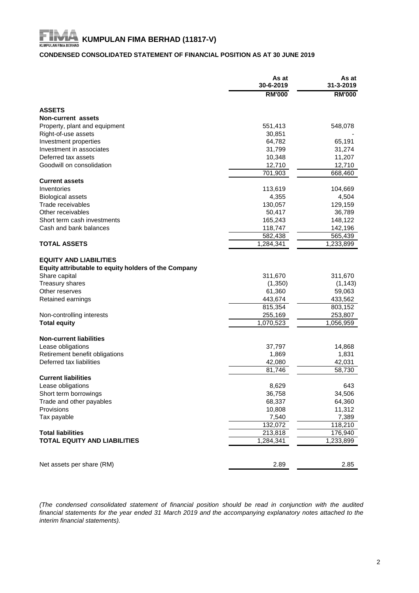# **KUMPULAN FIMA BERHAD (11817-V)**<br>KUMPULAN FIMA BERHAD (11817-V)

# **CONDENSED CONSOLIDATED STATEMENT OF FINANCIAL POSITION AS AT 30 JUNE 2019**

|                                                      | As at<br>30-6-2019 | As at<br>31-3-2019 |
|------------------------------------------------------|--------------------|--------------------|
|                                                      | <b>RM'000</b>      | <b>RM'000</b>      |
| <b>ASSETS</b>                                        |                    |                    |
| Non-current assets                                   |                    |                    |
| Property, plant and equipment                        | 551,413            | 548,078            |
| Right-of-use assets                                  | 30,851             |                    |
| Investment properties                                | 64,782             | 65,191             |
| Investment in associates                             | 31,799             | 31,274             |
| Deferred tax assets                                  | 10,348             | 11,207             |
| Goodwill on consolidation                            | 12,710             | 12,710             |
|                                                      | 701,903            | 668,460            |
| <b>Current assets</b>                                |                    |                    |
| Inventories                                          | 113,619            | 104,669            |
| <b>Biological assets</b>                             | 4,355              | 4,504              |
| Trade receivables                                    | 130,057            | 129,159            |
| Other receivables                                    | 50,417             | 36,789             |
| Short term cash investments                          | 165,243            | 148,122            |
| Cash and bank balances                               | 118,747            | 142,196            |
|                                                      | 582,438            | 565,439            |
| <b>TOTAL ASSETS</b>                                  | 1,284,341          | 1,233,899          |
|                                                      |                    |                    |
| <b>EQUITY AND LIABILITIES</b>                        |                    |                    |
| Equity attributable to equity holders of the Company |                    |                    |
| Share capital                                        | 311,670            | 311,670            |
| <b>Treasury shares</b>                               | (1,350)            | (1, 143)           |
| Other reserves                                       | 61,360             | 59,063             |
| Retained earnings                                    | 443,674            | 433,562            |
|                                                      | 815,354            | 803,152            |
| Non-controlling interests                            | 255,169            | 253,807            |
| <b>Total equity</b>                                  | 1,070,523          | 1,056,959          |
|                                                      |                    |                    |
| <b>Non-current liabilities</b>                       |                    |                    |
| Lease obligations                                    | 37,797             | 14,868             |
| Retirement benefit obligations                       | 1,869              | 1,831              |
| Deferred tax liabilities                             | 42,080             | 42,031             |
|                                                      | 81,746             | 58,730             |
| <b>Current liabilities</b>                           |                    |                    |
| Lease obligations                                    | 8.629              | 643                |
| Short term borrowings                                | 36,758             | 34,506             |
| Trade and other payables                             | 68,337             | 64,360             |
| Provisions                                           | 10,808             | 11,312             |
| Tax payable                                          | 7,540              | 7,389              |
|                                                      | 132,072            | 118,210            |
| <b>Total liabilities</b>                             | 213,818            | 176,940            |
| <b>TOTAL EQUITY AND LIABILITIES</b>                  | 1,284,341          | 1,233,899          |
|                                                      |                    |                    |
|                                                      |                    |                    |
| Net assets per share (RM)                            | 2.89               | 2.85               |

*(The condensed consolidated statement of financial position should be read in conjunction with the audited* financial statements for the year ended 31 March 2019 and the accompanying explanatory notes attached to the *interim financial statements).*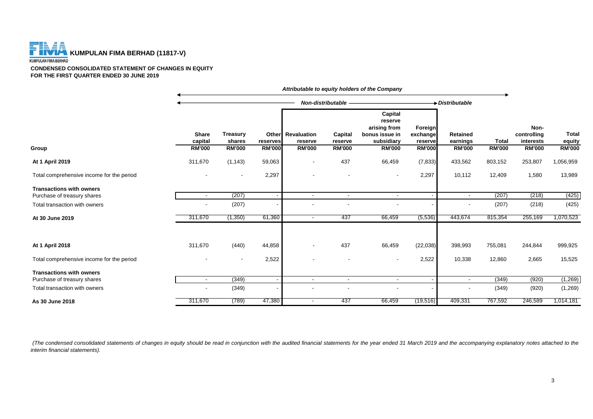

**CONDENSED CONSOLIDATED STATEMENT OF CHANGES IN EQUITY FOR THE FIRST QUARTER ENDED 30 JUNE 2019**

|                                           |                                          |                                     |                           |                                               | Non-distributable                   |                                                                                     |                                                 | Distributable                         |                               |                                                   |                                         |
|-------------------------------------------|------------------------------------------|-------------------------------------|---------------------------|-----------------------------------------------|-------------------------------------|-------------------------------------------------------------------------------------|-------------------------------------------------|---------------------------------------|-------------------------------|---------------------------------------------------|-----------------------------------------|
| Group                                     | <b>Share</b><br>capital<br><b>RM'000</b> | Treasury<br>shares<br><b>RM'000</b> | reserves<br><b>RM'000</b> | Other Revaluation<br>reserve<br><b>RM'000</b> | Capital<br>reserve<br><b>RM'000</b> | Capital<br>reserve<br>arising from<br>bonus issue in<br>subsidiary<br><b>RM'000</b> | Foreign<br>exchange<br>reserve<br><b>RM'000</b> | Retained<br>earnings<br><b>RM'000</b> | <b>Total</b><br><b>RM'000</b> | Non-<br>controlling<br>interests<br><b>RM'000</b> | <b>Total</b><br>equity<br><b>RM'000</b> |
|                                           |                                          |                                     |                           |                                               |                                     |                                                                                     |                                                 |                                       |                               |                                                   |                                         |
| At 1 April 2019                           | 311,670                                  | (1, 143)                            | 59,063                    | $\overline{\phantom{a}}$                      | 437                                 | 66,459                                                                              | (7, 833)                                        | 433,562                               | 803,152                       | 253,807                                           | 1,056,959                               |
| Total comprehensive income for the period |                                          | $\overline{\phantom{a}}$            | 2,297                     | ٠                                             |                                     |                                                                                     | 2,297                                           | 10,112                                | 12,409                        | 1,580                                             | 13,989                                  |
| <b>Transactions with owners</b>           |                                          |                                     |                           |                                               |                                     |                                                                                     |                                                 |                                       |                               |                                                   |                                         |
| Purchase of treasury shares               | $\overline{\phantom{a}}$                 | (207)                               |                           | $\sim$                                        | $\overline{\phantom{a}}$            | $\overline{\phantom{a}}$                                                            |                                                 | $\overline{\phantom{a}}$              | (207)                         | (218)                                             | (425)                                   |
| Total transaction with owners             |                                          | (207)                               |                           |                                               |                                     |                                                                                     |                                                 | $\overline{\phantom{a}}$              | (207)                         | (218)                                             | (425)                                   |
| At 30 June 2019                           | 311,670                                  | (1,350)                             | 61,360                    | $\sim$                                        | 437                                 | 66,459                                                                              | (5,536)                                         | 443,674                               | 815,354                       | 255,169                                           | 1,070,523                               |
| At 1 April 2018                           | 311,670                                  | (440)                               | 44,858                    |                                               | 437                                 | 66,459                                                                              | (22, 038)                                       | 398,993                               | 755,081                       | 244,844                                           | 999,925                                 |
| Total comprehensive income for the period |                                          | $\overline{\phantom{a}}$            | 2,522                     | ۰                                             |                                     |                                                                                     | 2,522                                           | 10,338                                | 12,860                        | 2,665                                             | 15,525                                  |
| <b>Transactions with owners</b>           |                                          |                                     |                           |                                               |                                     |                                                                                     |                                                 |                                       |                               |                                                   |                                         |
| Purchase of treasury shares               |                                          | (349)                               |                           | $\overline{\phantom{a}}$                      | $\blacksquare$                      |                                                                                     |                                                 | $\blacksquare$                        | (349)                         | (920)                                             | (1,269)                                 |
| Total transaction with owners             |                                          | (349)                               |                           |                                               |                                     |                                                                                     |                                                 |                                       | (349)                         | (920)                                             | (1,269)                                 |
| As 30 June 2018                           | 311,670                                  | (789)                               | 47,380                    | $\sim$                                        | 437                                 | 66,459                                                                              | (19,516)                                        | 409,331                               | 767,592                       | 246,589                                           | 1,014,181                               |

*Attributable to equity holders of the Company*

(The condensed consolidated statements of changes in equity should be read in conjunction with the audited financial statements for the year ended 31 March 2019 and the accompanying explanatory notes attached to the *interim financial statements).*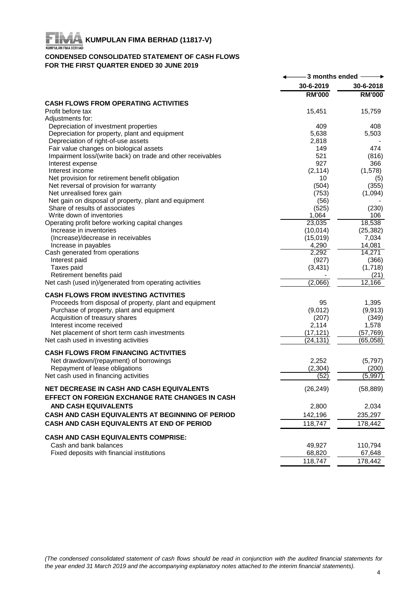# FIR **KUMPULAN FIMA BERHAD (11817-V)**<br>KUMPULAN FIMA BERHAD (11817-V)

# **CONDENSED CONSOLIDATED STATEMENT OF CASH FLOWS FOR THE FIRST QUARTER ENDED 30 JUNE 2019**

| 30-6-2019<br>30-6-2018<br><b>RM'000</b><br><b>RM'000</b><br><b>CASH FLOWS FROM OPERATING ACTIVITIES</b><br>15,451<br>Profit before tax<br>15,759<br>Adjustments for:<br>Depreciation of investment properties<br>409<br>408<br>Depreciation for property, plant and equipment<br>5,638<br>5,503<br>Depreciation of right-of-use assets<br>2,818<br>Fair value changes on biological assets<br>474<br>149<br>Impairment loss/(write back) on trade and other receivables<br>521<br>(816)<br>927<br>366<br>Interest expense<br>Interest income<br>(2, 114)<br>(1,578)<br>Net provision for retirement benefit obligation<br>10<br>(5)<br>(504)<br>(355)<br>Net reversal of provision for warranty<br>Net unrealised forex gain<br>(753)<br>(1,094)<br>Net gain on disposal of property, plant and equipment<br>(56)<br>Share of results of associates<br>(525)<br>(230)<br>Write down of inventories<br>1,064<br>106<br>23,035<br>18,538<br>Operating profit before working capital changes<br>(25, 382)<br>Increase in inventories<br>(10, 014)<br>7,034<br>(Increase)/decrease in receivables<br>(15,019)<br>14,081<br>Increase in payables<br>4,290<br>14,271<br>Cash generated from operations<br>2,292<br>(927)<br>(366)<br>Interest paid<br>Taxes paid<br>(3, 431)<br>(1,718)<br>Retirement benefits paid<br>(21)<br>(2,066)<br>12,166<br>Net cash (used in)/generated from operating activities<br><b>CASH FLOWS FROM INVESTING ACTIVITIES</b><br>Proceeds from disposal of property, plant and equipment<br>95<br>1,395<br>Purchase of property, plant and equipment<br>(9,012)<br>(9, 913)<br>Acquisition of treasury shares<br>(207)<br>(349)<br>Interest income received<br>2,114<br>1,578<br>Net placement of short term cash investments<br>(17, 121)<br>(57, 769)<br>Net cash used in investing activities<br>(24, 131)<br>(65,058)<br><b>CASH FLOWS FROM FINANCING ACTIVITIES</b><br>Net drawdown/(repayment) of borrowings<br>2,252<br>(5,797)<br>Repayment of lease obligations<br>(2,304)<br>(200)<br>Net cash used in financing activities<br>(52)<br>(5,997)<br><b>NET DECREASE IN CASH AND CASH EQUIVALENTS</b><br>(26, 249)<br>(58, 889)<br>EFFECT ON FOREIGN EXCHANGE RATE CHANGES IN CASH<br><b>AND CASH EQUIVALENTS</b><br>2,800<br>2,034<br>CASH AND CASH EQUIVALENTS AT BEGINNING OF PERIOD<br>142,196<br>235,297<br>118,747<br>CASH AND CASH EQUIVALENTS AT END OF PERIOD<br>178,442<br><b>CASH AND CASH EQUIVALENTS COMPRISE:</b><br>Cash and bank balances<br>49,927<br>110,794<br>Fixed deposits with financial institutions<br>68,820<br>67,648 | -3 months ended $\,-$ |  |
|-------------------------------------------------------------------------------------------------------------------------------------------------------------------------------------------------------------------------------------------------------------------------------------------------------------------------------------------------------------------------------------------------------------------------------------------------------------------------------------------------------------------------------------------------------------------------------------------------------------------------------------------------------------------------------------------------------------------------------------------------------------------------------------------------------------------------------------------------------------------------------------------------------------------------------------------------------------------------------------------------------------------------------------------------------------------------------------------------------------------------------------------------------------------------------------------------------------------------------------------------------------------------------------------------------------------------------------------------------------------------------------------------------------------------------------------------------------------------------------------------------------------------------------------------------------------------------------------------------------------------------------------------------------------------------------------------------------------------------------------------------------------------------------------------------------------------------------------------------------------------------------------------------------------------------------------------------------------------------------------------------------------------------------------------------------------------------------------------------------------------------------------------------------------------------------------------------------------------------------------------------------------------------------------------------------------------------------------------------------------------------------------------------------------------------------------------------------------------------------------------------------------------------------------------------------------------------|-----------------------|--|
|                                                                                                                                                                                                                                                                                                                                                                                                                                                                                                                                                                                                                                                                                                                                                                                                                                                                                                                                                                                                                                                                                                                                                                                                                                                                                                                                                                                                                                                                                                                                                                                                                                                                                                                                                                                                                                                                                                                                                                                                                                                                                                                                                                                                                                                                                                                                                                                                                                                                                                                                                                               |                       |  |
|                                                                                                                                                                                                                                                                                                                                                                                                                                                                                                                                                                                                                                                                                                                                                                                                                                                                                                                                                                                                                                                                                                                                                                                                                                                                                                                                                                                                                                                                                                                                                                                                                                                                                                                                                                                                                                                                                                                                                                                                                                                                                                                                                                                                                                                                                                                                                                                                                                                                                                                                                                               |                       |  |
|                                                                                                                                                                                                                                                                                                                                                                                                                                                                                                                                                                                                                                                                                                                                                                                                                                                                                                                                                                                                                                                                                                                                                                                                                                                                                                                                                                                                                                                                                                                                                                                                                                                                                                                                                                                                                                                                                                                                                                                                                                                                                                                                                                                                                                                                                                                                                                                                                                                                                                                                                                               |                       |  |
|                                                                                                                                                                                                                                                                                                                                                                                                                                                                                                                                                                                                                                                                                                                                                                                                                                                                                                                                                                                                                                                                                                                                                                                                                                                                                                                                                                                                                                                                                                                                                                                                                                                                                                                                                                                                                                                                                                                                                                                                                                                                                                                                                                                                                                                                                                                                                                                                                                                                                                                                                                               |                       |  |
|                                                                                                                                                                                                                                                                                                                                                                                                                                                                                                                                                                                                                                                                                                                                                                                                                                                                                                                                                                                                                                                                                                                                                                                                                                                                                                                                                                                                                                                                                                                                                                                                                                                                                                                                                                                                                                                                                                                                                                                                                                                                                                                                                                                                                                                                                                                                                                                                                                                                                                                                                                               |                       |  |
|                                                                                                                                                                                                                                                                                                                                                                                                                                                                                                                                                                                                                                                                                                                                                                                                                                                                                                                                                                                                                                                                                                                                                                                                                                                                                                                                                                                                                                                                                                                                                                                                                                                                                                                                                                                                                                                                                                                                                                                                                                                                                                                                                                                                                                                                                                                                                                                                                                                                                                                                                                               |                       |  |
|                                                                                                                                                                                                                                                                                                                                                                                                                                                                                                                                                                                                                                                                                                                                                                                                                                                                                                                                                                                                                                                                                                                                                                                                                                                                                                                                                                                                                                                                                                                                                                                                                                                                                                                                                                                                                                                                                                                                                                                                                                                                                                                                                                                                                                                                                                                                                                                                                                                                                                                                                                               |                       |  |
|                                                                                                                                                                                                                                                                                                                                                                                                                                                                                                                                                                                                                                                                                                                                                                                                                                                                                                                                                                                                                                                                                                                                                                                                                                                                                                                                                                                                                                                                                                                                                                                                                                                                                                                                                                                                                                                                                                                                                                                                                                                                                                                                                                                                                                                                                                                                                                                                                                                                                                                                                                               |                       |  |
|                                                                                                                                                                                                                                                                                                                                                                                                                                                                                                                                                                                                                                                                                                                                                                                                                                                                                                                                                                                                                                                                                                                                                                                                                                                                                                                                                                                                                                                                                                                                                                                                                                                                                                                                                                                                                                                                                                                                                                                                                                                                                                                                                                                                                                                                                                                                                                                                                                                                                                                                                                               |                       |  |
|                                                                                                                                                                                                                                                                                                                                                                                                                                                                                                                                                                                                                                                                                                                                                                                                                                                                                                                                                                                                                                                                                                                                                                                                                                                                                                                                                                                                                                                                                                                                                                                                                                                                                                                                                                                                                                                                                                                                                                                                                                                                                                                                                                                                                                                                                                                                                                                                                                                                                                                                                                               |                       |  |
|                                                                                                                                                                                                                                                                                                                                                                                                                                                                                                                                                                                                                                                                                                                                                                                                                                                                                                                                                                                                                                                                                                                                                                                                                                                                                                                                                                                                                                                                                                                                                                                                                                                                                                                                                                                                                                                                                                                                                                                                                                                                                                                                                                                                                                                                                                                                                                                                                                                                                                                                                                               |                       |  |
|                                                                                                                                                                                                                                                                                                                                                                                                                                                                                                                                                                                                                                                                                                                                                                                                                                                                                                                                                                                                                                                                                                                                                                                                                                                                                                                                                                                                                                                                                                                                                                                                                                                                                                                                                                                                                                                                                                                                                                                                                                                                                                                                                                                                                                                                                                                                                                                                                                                                                                                                                                               |                       |  |
|                                                                                                                                                                                                                                                                                                                                                                                                                                                                                                                                                                                                                                                                                                                                                                                                                                                                                                                                                                                                                                                                                                                                                                                                                                                                                                                                                                                                                                                                                                                                                                                                                                                                                                                                                                                                                                                                                                                                                                                                                                                                                                                                                                                                                                                                                                                                                                                                                                                                                                                                                                               |                       |  |
|                                                                                                                                                                                                                                                                                                                                                                                                                                                                                                                                                                                                                                                                                                                                                                                                                                                                                                                                                                                                                                                                                                                                                                                                                                                                                                                                                                                                                                                                                                                                                                                                                                                                                                                                                                                                                                                                                                                                                                                                                                                                                                                                                                                                                                                                                                                                                                                                                                                                                                                                                                               |                       |  |
|                                                                                                                                                                                                                                                                                                                                                                                                                                                                                                                                                                                                                                                                                                                                                                                                                                                                                                                                                                                                                                                                                                                                                                                                                                                                                                                                                                                                                                                                                                                                                                                                                                                                                                                                                                                                                                                                                                                                                                                                                                                                                                                                                                                                                                                                                                                                                                                                                                                                                                                                                                               |                       |  |
|                                                                                                                                                                                                                                                                                                                                                                                                                                                                                                                                                                                                                                                                                                                                                                                                                                                                                                                                                                                                                                                                                                                                                                                                                                                                                                                                                                                                                                                                                                                                                                                                                                                                                                                                                                                                                                                                                                                                                                                                                                                                                                                                                                                                                                                                                                                                                                                                                                                                                                                                                                               |                       |  |
|                                                                                                                                                                                                                                                                                                                                                                                                                                                                                                                                                                                                                                                                                                                                                                                                                                                                                                                                                                                                                                                                                                                                                                                                                                                                                                                                                                                                                                                                                                                                                                                                                                                                                                                                                                                                                                                                                                                                                                                                                                                                                                                                                                                                                                                                                                                                                                                                                                                                                                                                                                               |                       |  |
|                                                                                                                                                                                                                                                                                                                                                                                                                                                                                                                                                                                                                                                                                                                                                                                                                                                                                                                                                                                                                                                                                                                                                                                                                                                                                                                                                                                                                                                                                                                                                                                                                                                                                                                                                                                                                                                                                                                                                                                                                                                                                                                                                                                                                                                                                                                                                                                                                                                                                                                                                                               |                       |  |
|                                                                                                                                                                                                                                                                                                                                                                                                                                                                                                                                                                                                                                                                                                                                                                                                                                                                                                                                                                                                                                                                                                                                                                                                                                                                                                                                                                                                                                                                                                                                                                                                                                                                                                                                                                                                                                                                                                                                                                                                                                                                                                                                                                                                                                                                                                                                                                                                                                                                                                                                                                               |                       |  |
|                                                                                                                                                                                                                                                                                                                                                                                                                                                                                                                                                                                                                                                                                                                                                                                                                                                                                                                                                                                                                                                                                                                                                                                                                                                                                                                                                                                                                                                                                                                                                                                                                                                                                                                                                                                                                                                                                                                                                                                                                                                                                                                                                                                                                                                                                                                                                                                                                                                                                                                                                                               |                       |  |
|                                                                                                                                                                                                                                                                                                                                                                                                                                                                                                                                                                                                                                                                                                                                                                                                                                                                                                                                                                                                                                                                                                                                                                                                                                                                                                                                                                                                                                                                                                                                                                                                                                                                                                                                                                                                                                                                                                                                                                                                                                                                                                                                                                                                                                                                                                                                                                                                                                                                                                                                                                               |                       |  |
|                                                                                                                                                                                                                                                                                                                                                                                                                                                                                                                                                                                                                                                                                                                                                                                                                                                                                                                                                                                                                                                                                                                                                                                                                                                                                                                                                                                                                                                                                                                                                                                                                                                                                                                                                                                                                                                                                                                                                                                                                                                                                                                                                                                                                                                                                                                                                                                                                                                                                                                                                                               |                       |  |
|                                                                                                                                                                                                                                                                                                                                                                                                                                                                                                                                                                                                                                                                                                                                                                                                                                                                                                                                                                                                                                                                                                                                                                                                                                                                                                                                                                                                                                                                                                                                                                                                                                                                                                                                                                                                                                                                                                                                                                                                                                                                                                                                                                                                                                                                                                                                                                                                                                                                                                                                                                               |                       |  |
|                                                                                                                                                                                                                                                                                                                                                                                                                                                                                                                                                                                                                                                                                                                                                                                                                                                                                                                                                                                                                                                                                                                                                                                                                                                                                                                                                                                                                                                                                                                                                                                                                                                                                                                                                                                                                                                                                                                                                                                                                                                                                                                                                                                                                                                                                                                                                                                                                                                                                                                                                                               |                       |  |
|                                                                                                                                                                                                                                                                                                                                                                                                                                                                                                                                                                                                                                                                                                                                                                                                                                                                                                                                                                                                                                                                                                                                                                                                                                                                                                                                                                                                                                                                                                                                                                                                                                                                                                                                                                                                                                                                                                                                                                                                                                                                                                                                                                                                                                                                                                                                                                                                                                                                                                                                                                               |                       |  |
|                                                                                                                                                                                                                                                                                                                                                                                                                                                                                                                                                                                                                                                                                                                                                                                                                                                                                                                                                                                                                                                                                                                                                                                                                                                                                                                                                                                                                                                                                                                                                                                                                                                                                                                                                                                                                                                                                                                                                                                                                                                                                                                                                                                                                                                                                                                                                                                                                                                                                                                                                                               |                       |  |
|                                                                                                                                                                                                                                                                                                                                                                                                                                                                                                                                                                                                                                                                                                                                                                                                                                                                                                                                                                                                                                                                                                                                                                                                                                                                                                                                                                                                                                                                                                                                                                                                                                                                                                                                                                                                                                                                                                                                                                                                                                                                                                                                                                                                                                                                                                                                                                                                                                                                                                                                                                               |                       |  |
|                                                                                                                                                                                                                                                                                                                                                                                                                                                                                                                                                                                                                                                                                                                                                                                                                                                                                                                                                                                                                                                                                                                                                                                                                                                                                                                                                                                                                                                                                                                                                                                                                                                                                                                                                                                                                                                                                                                                                                                                                                                                                                                                                                                                                                                                                                                                                                                                                                                                                                                                                                               |                       |  |
|                                                                                                                                                                                                                                                                                                                                                                                                                                                                                                                                                                                                                                                                                                                                                                                                                                                                                                                                                                                                                                                                                                                                                                                                                                                                                                                                                                                                                                                                                                                                                                                                                                                                                                                                                                                                                                                                                                                                                                                                                                                                                                                                                                                                                                                                                                                                                                                                                                                                                                                                                                               |                       |  |
|                                                                                                                                                                                                                                                                                                                                                                                                                                                                                                                                                                                                                                                                                                                                                                                                                                                                                                                                                                                                                                                                                                                                                                                                                                                                                                                                                                                                                                                                                                                                                                                                                                                                                                                                                                                                                                                                                                                                                                                                                                                                                                                                                                                                                                                                                                                                                                                                                                                                                                                                                                               |                       |  |
|                                                                                                                                                                                                                                                                                                                                                                                                                                                                                                                                                                                                                                                                                                                                                                                                                                                                                                                                                                                                                                                                                                                                                                                                                                                                                                                                                                                                                                                                                                                                                                                                                                                                                                                                                                                                                                                                                                                                                                                                                                                                                                                                                                                                                                                                                                                                                                                                                                                                                                                                                                               |                       |  |
|                                                                                                                                                                                                                                                                                                                                                                                                                                                                                                                                                                                                                                                                                                                                                                                                                                                                                                                                                                                                                                                                                                                                                                                                                                                                                                                                                                                                                                                                                                                                                                                                                                                                                                                                                                                                                                                                                                                                                                                                                                                                                                                                                                                                                                                                                                                                                                                                                                                                                                                                                                               |                       |  |
|                                                                                                                                                                                                                                                                                                                                                                                                                                                                                                                                                                                                                                                                                                                                                                                                                                                                                                                                                                                                                                                                                                                                                                                                                                                                                                                                                                                                                                                                                                                                                                                                                                                                                                                                                                                                                                                                                                                                                                                                                                                                                                                                                                                                                                                                                                                                                                                                                                                                                                                                                                               |                       |  |
|                                                                                                                                                                                                                                                                                                                                                                                                                                                                                                                                                                                                                                                                                                                                                                                                                                                                                                                                                                                                                                                                                                                                                                                                                                                                                                                                                                                                                                                                                                                                                                                                                                                                                                                                                                                                                                                                                                                                                                                                                                                                                                                                                                                                                                                                                                                                                                                                                                                                                                                                                                               |                       |  |
|                                                                                                                                                                                                                                                                                                                                                                                                                                                                                                                                                                                                                                                                                                                                                                                                                                                                                                                                                                                                                                                                                                                                                                                                                                                                                                                                                                                                                                                                                                                                                                                                                                                                                                                                                                                                                                                                                                                                                                                                                                                                                                                                                                                                                                                                                                                                                                                                                                                                                                                                                                               |                       |  |
|                                                                                                                                                                                                                                                                                                                                                                                                                                                                                                                                                                                                                                                                                                                                                                                                                                                                                                                                                                                                                                                                                                                                                                                                                                                                                                                                                                                                                                                                                                                                                                                                                                                                                                                                                                                                                                                                                                                                                                                                                                                                                                                                                                                                                                                                                                                                                                                                                                                                                                                                                                               |                       |  |
|                                                                                                                                                                                                                                                                                                                                                                                                                                                                                                                                                                                                                                                                                                                                                                                                                                                                                                                                                                                                                                                                                                                                                                                                                                                                                                                                                                                                                                                                                                                                                                                                                                                                                                                                                                                                                                                                                                                                                                                                                                                                                                                                                                                                                                                                                                                                                                                                                                                                                                                                                                               |                       |  |
|                                                                                                                                                                                                                                                                                                                                                                                                                                                                                                                                                                                                                                                                                                                                                                                                                                                                                                                                                                                                                                                                                                                                                                                                                                                                                                                                                                                                                                                                                                                                                                                                                                                                                                                                                                                                                                                                                                                                                                                                                                                                                                                                                                                                                                                                                                                                                                                                                                                                                                                                                                               |                       |  |
|                                                                                                                                                                                                                                                                                                                                                                                                                                                                                                                                                                                                                                                                                                                                                                                                                                                                                                                                                                                                                                                                                                                                                                                                                                                                                                                                                                                                                                                                                                                                                                                                                                                                                                                                                                                                                                                                                                                                                                                                                                                                                                                                                                                                                                                                                                                                                                                                                                                                                                                                                                               |                       |  |
|                                                                                                                                                                                                                                                                                                                                                                                                                                                                                                                                                                                                                                                                                                                                                                                                                                                                                                                                                                                                                                                                                                                                                                                                                                                                                                                                                                                                                                                                                                                                                                                                                                                                                                                                                                                                                                                                                                                                                                                                                                                                                                                                                                                                                                                                                                                                                                                                                                                                                                                                                                               |                       |  |
|                                                                                                                                                                                                                                                                                                                                                                                                                                                                                                                                                                                                                                                                                                                                                                                                                                                                                                                                                                                                                                                                                                                                                                                                                                                                                                                                                                                                                                                                                                                                                                                                                                                                                                                                                                                                                                                                                                                                                                                                                                                                                                                                                                                                                                                                                                                                                                                                                                                                                                                                                                               |                       |  |
|                                                                                                                                                                                                                                                                                                                                                                                                                                                                                                                                                                                                                                                                                                                                                                                                                                                                                                                                                                                                                                                                                                                                                                                                                                                                                                                                                                                                                                                                                                                                                                                                                                                                                                                                                                                                                                                                                                                                                                                                                                                                                                                                                                                                                                                                                                                                                                                                                                                                                                                                                                               |                       |  |
|                                                                                                                                                                                                                                                                                                                                                                                                                                                                                                                                                                                                                                                                                                                                                                                                                                                                                                                                                                                                                                                                                                                                                                                                                                                                                                                                                                                                                                                                                                                                                                                                                                                                                                                                                                                                                                                                                                                                                                                                                                                                                                                                                                                                                                                                                                                                                                                                                                                                                                                                                                               |                       |  |
|                                                                                                                                                                                                                                                                                                                                                                                                                                                                                                                                                                                                                                                                                                                                                                                                                                                                                                                                                                                                                                                                                                                                                                                                                                                                                                                                                                                                                                                                                                                                                                                                                                                                                                                                                                                                                                                                                                                                                                                                                                                                                                                                                                                                                                                                                                                                                                                                                                                                                                                                                                               |                       |  |
|                                                                                                                                                                                                                                                                                                                                                                                                                                                                                                                                                                                                                                                                                                                                                                                                                                                                                                                                                                                                                                                                                                                                                                                                                                                                                                                                                                                                                                                                                                                                                                                                                                                                                                                                                                                                                                                                                                                                                                                                                                                                                                                                                                                                                                                                                                                                                                                                                                                                                                                                                                               |                       |  |
|                                                                                                                                                                                                                                                                                                                                                                                                                                                                                                                                                                                                                                                                                                                                                                                                                                                                                                                                                                                                                                                                                                                                                                                                                                                                                                                                                                                                                                                                                                                                                                                                                                                                                                                                                                                                                                                                                                                                                                                                                                                                                                                                                                                                                                                                                                                                                                                                                                                                                                                                                                               |                       |  |
|                                                                                                                                                                                                                                                                                                                                                                                                                                                                                                                                                                                                                                                                                                                                                                                                                                                                                                                                                                                                                                                                                                                                                                                                                                                                                                                                                                                                                                                                                                                                                                                                                                                                                                                                                                                                                                                                                                                                                                                                                                                                                                                                                                                                                                                                                                                                                                                                                                                                                                                                                                               |                       |  |
| 118,747<br>178,442                                                                                                                                                                                                                                                                                                                                                                                                                                                                                                                                                                                                                                                                                                                                                                                                                                                                                                                                                                                                                                                                                                                                                                                                                                                                                                                                                                                                                                                                                                                                                                                                                                                                                                                                                                                                                                                                                                                                                                                                                                                                                                                                                                                                                                                                                                                                                                                                                                                                                                                                                            |                       |  |

(The condensed consolidated statement of cash flows should be read in conjunction with the audited financial statements for *the year ended 31 March 2019 and the accompanying explanatory notes attached to the interim financial statements).*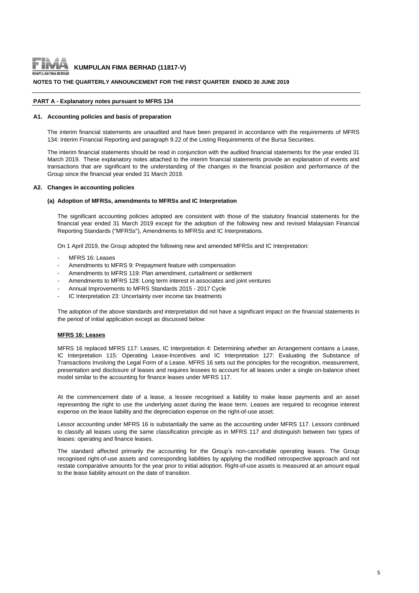

#### **NOTES TO THE QUARTERLY ANNOUNCEMENT FOR THE FIRST QUARTER ENDED 30 JUNE 2019**

#### **PART A - Explanatory notes pursuant to MFRS 134**

#### **A1. Accounting policies and basis of preparation**

The interim financial statements are unaudited and have been prepared in accordance with the requirements of MFRS 134: Interim Financial Reporting and paragraph 9.22 of the Listing Requirements of the Bursa Securities.

The interim financial statements should be read in conjunction with the audited financial statements for the year ended 31 March 2019. These explanatory notes attached to the interim financial statements provide an explanation of events and transactions that are significant to the understanding of the changes in the financial position and performance of the Group since the financial year ended 31 March 2019.

#### **A2. Changes in accounting policies**

#### **(a) Adoption of MFRSs, amendments to MFRSs and IC Interpretation**

The significant accounting policies adopted are consistent with those of the statutory financial statements for the financial year ended 31 March 2019 except for the adoption of the following new and revised Malaysian Financial Reporting Standards ("MFRSs"), Amendments to MFRSs and IC Interpretations.

On 1 April 2019, the Group adopted the following new and amended MFRSs and IC Interpretation:

- MERS 16: Leases
- Amendments to MFRS 9: Prepayment feature with compensation
- Amendments to MFRS 119: Plan amendment, curtailment or settlement
- Amendments to MFRS 128: Long term interest in associates and joint ventures
- Annual Improvements to MFRS Standards 2015 2017 Cycle
- IC Interpretation 23: Uncertainty over income tax treatments

The adoption of the above standards and interpretation did not have a significant impact on the financial statements in the period of initial application except as discussed below:

#### **MFRS 16: Leases**

MFRS 16 replaced MFRS 117: Leases, IC Interpretation 4: Determining whether an Arrangement contains a Lease, IC Interpretation 115: Operating Lease-Incentives and IC Interpretation 127: Evaluating the Substance of Transactions Involving the Legal Form of a Lease. MFRS 16 sets out the principles for the recognition, measurement, presentation and disclosure of leases and requires lessees to account for all leases under a single on-balance sheet model similar to the accounting for finance leases under MFRS 117.

At the commencement date of a lease, a lessee recognised a liability to make lease payments and an asset representing the right to use the underlying asset during the lease term. Leases are required to recognise interest expense on the lease liability and the depreciation expense on the right-of-use asset.

Lessor accounting under MFRS 16 is substantially the same as the accounting under MFRS 117. Lessors continued to classify all leases using the same classification principle as in MFRS 117 and distinguish between two types of leases: operating and finance leases.

The standard affected primarily the accounting for the Group's non-cancellable operating leases. The Group recognised right-of-use assets and corresponding liabilities by applying the modified retrospective approach and not restate comparative amounts for the year prior to initial adoption. Right-of-use assets is measured at an amount equal to the lease liability amount on the date of transition.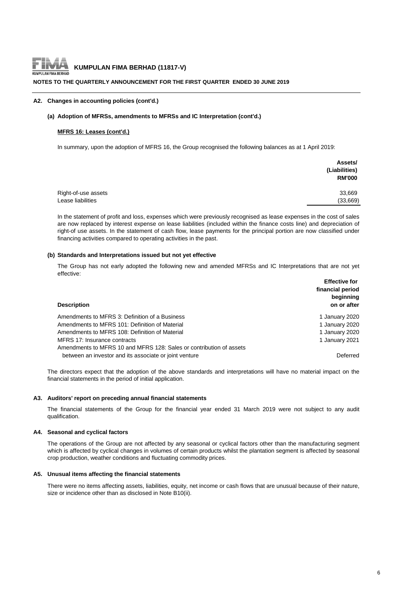

#### **NOTES TO THE QUARTERLY ANNOUNCEMENT FOR THE FIRST QUARTER ENDED 30 JUNE 2019**

#### **A2. Changes in accounting policies (cont'd.)**

#### **(a) Adoption of MFRSs, amendments to MFRSs and IC Interpretation (cont'd.)**

#### **MFRS 16: Leases (cont'd.)**

In summary, upon the adoption of MFRS 16, the Group recognised the following balances as at 1 April 2019:

|                     | Assets/<br>(Liabilities)<br><b>RM'000</b> |
|---------------------|-------------------------------------------|
| Right-of-use assets | 33,669                                    |
| Lease liabilities   | (33,669)                                  |

In the statement of profit and loss, expenses which were previously recognised as lease expenses in the cost of sales are now replaced by interest expense on lease liabilities (included within the finance costs line) and depreciation of right-of use assets. In the statement of cash flow, lease payments for the principal portion are now classified under financing activities compared to operating activities in the past.

#### **(b) Standards and Interpretations issued but not yet effective**

The Group has not early adopted the following new and amended MFRSs and IC Interpretations that are not yet effective:

|                                                                     | <b>Effective for</b><br>financial period<br>beginning |
|---------------------------------------------------------------------|-------------------------------------------------------|
| <b>Description</b>                                                  | on or after                                           |
| Amendments to MFRS 3: Definition of a Business                      | 1 January 2020                                        |
| Amendments to MFRS 101: Definition of Material                      | 1 January 2020                                        |
| Amendments to MFRS 108: Definition of Material                      | 1 January 2020                                        |
| MFRS 17: Insurance contracts                                        | 1 January 2021                                        |
| Amendments to MFRS 10 and MFRS 128: Sales or contribution of assets |                                                       |
| between an investor and its associate or joint venture              | Deferred                                              |

The directors expect that the adoption of the above standards and interpretations will have no material impact on the financial statements in the period of initial application.

#### **A3. Auditors' report on preceding annual financial statements**

The financial statements of the Group for the financial year ended 31 March 2019 were not subject to any audit qualification.

#### **A4. Seasonal and cyclical factors**

The operations of the Group are not affected by any seasonal or cyclical factors other than the manufacturing segment which is affected by cyclical changes in volumes of certain products whilst the plantation segment is affected by seasonal crop production, weather conditions and fluctuating commodity prices.

#### **A5. Unusual items affecting the financial statements**

There were no items affecting assets, liabilities, equity, net income or cash flows that are unusual because of their nature, size or incidence other than as disclosed in Note B10(ii).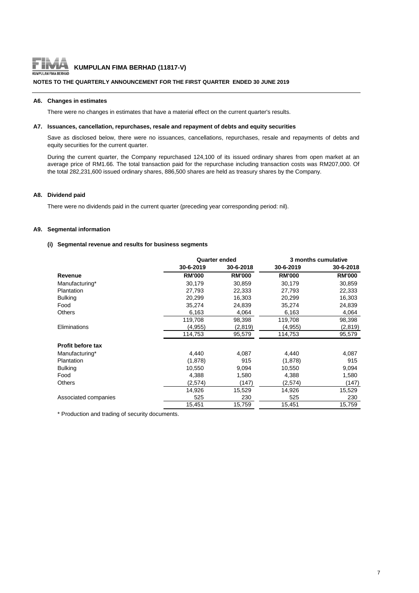

# **KUMPULAN FIMA BERHAD (11817-V)**<br>ULAN FIMA BERHAD

#### **NOTES TO THE QUARTERLY ANNOUNCEMENT FOR THE FIRST QUARTER ENDED 30 JUNE 2019**

#### **A6. Changes in estimates**

There were no changes in estimates that have a material effect on the current quarter's results.

#### **A7. Issuances, cancellation, repurchases, resale and repayment of debts and equity securities**

Save as disclosed below, there were no issuances, cancellations, repurchases, resale and repayments of debts and equity securities for the current quarter.

During the current quarter, the Company repurchased 124,100 of its issued ordinary shares from open market at an average price of RM1.66. The total transaction paid for the repurchase including transaction costs was RM207,000. Of the total 282,231,600 issued ordinary shares, 886,500 shares are held as treasury shares by the Company.

#### **A8. Dividend paid**

There were no dividends paid in the current quarter (preceding year corresponding period: nil).

#### **A9. Segmental information**

#### **(i) Segmental revenue and results for business segments**

|                      |               | <b>Quarter ended</b> | 3 months cumulative |               |  |
|----------------------|---------------|----------------------|---------------------|---------------|--|
|                      | 30-6-2019     | 30-6-2018            | 30-6-2019           | 30-6-2018     |  |
| Revenue              | <b>RM'000</b> | <b>RM'000</b>        | <b>RM'000</b>       | <b>RM'000</b> |  |
| Manufacturing*       | 30,179        | 30,859               | 30,179              | 30,859        |  |
| Plantation           | 27,793        | 22,333               | 27,793              | 22,333        |  |
| <b>Bulking</b>       | 20,299        | 16,303               | 20,299              | 16,303        |  |
| Food                 | 35,274        | 24,839               | 35,274              | 24,839        |  |
| <b>Others</b>        | 6,163         | 4,064                | 6,163               | 4,064         |  |
|                      | 119,708       | 98,398               | 119,708             | 98,398        |  |
| Eliminations         | (4,955)       | (2,819)              | (4,955)             | (2,819)       |  |
|                      | 114,753       | 95,579               | 114,753             | 95,579        |  |
| Profit before tax    |               |                      |                     |               |  |
| Manufacturing*       | 4,440         | 4,087                | 4,440               | 4,087         |  |
| <b>Plantation</b>    | (1,878)       | 915                  | (1,878)             | 915           |  |
| <b>Bulking</b>       | 10,550        | 9,094                | 10,550              | 9,094         |  |
| Food                 | 4,388         | 1,580                | 4,388               | 1,580         |  |
| <b>Others</b>        | (2,574)       | (147)                | (2,574)             | (147)         |  |
|                      | 14,926        | 15,529               | 14,926              | 15,529        |  |
| Associated companies | 525           | 230                  | 525                 | 230           |  |
|                      | 15,451        | 15,759               | 15,451              | 15,759        |  |

\* Production and trading of security documents.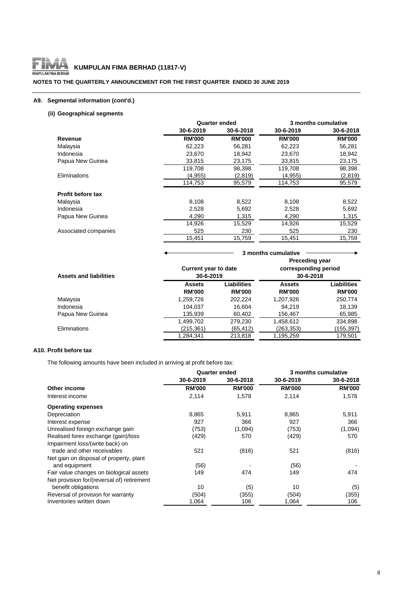

### **NOTES TO THE QUARTERLY ANNOUNCEMENT FOR THE FIRST QUARTER ENDED 30 JUNE 2019**

### **A9. Segmental information (cont'd.)**

# **(ii) Geographical segments**

|                          |               | <b>Quarter ended</b> | 3 months cumulative |               |
|--------------------------|---------------|----------------------|---------------------|---------------|
|                          | 30-6-2019     | 30-6-2018            | 30-6-2019           | 30-6-2018     |
| Revenue                  | <b>RM'000</b> | <b>RM'000</b>        | <b>RM'000</b>       | <b>RM'000</b> |
| Malaysia                 | 62,223        | 56,281               | 62,223              | 56,281        |
| Indonesia                | 23,670        | 18,942               | 23,670              | 18,942        |
| Papua New Guinea         | 33.815        | 23.175               | 33.815              | 23,175        |
|                          | 119,708       | 98,398               | 119,708             | 98,398        |
| Eliminations             | (4,955)       | (2,819)              | (4,955)             | (2,819)       |
|                          | 114,753       | 95,579               | 114,753             | 95,579        |
| <b>Profit before tax</b> |               |                      |                     |               |
| Malaysia                 | 8,108         | 8,522                | 8,108               | 8,522         |
| Indonesia                | 2,528         | 5,692                | 2,528               | 5,692         |
| Papua New Guinea         | 4,290         | 1,315                | 4,290               | 1,315         |
|                          | 14,926        | 15,529               | 14,926              | 15,529        |
| Associated companies     | 525           | 230                  | 525                 | 230           |
|                          | 15,451        | 15,759               | 15,451              | 15,759        |

| <b>Assets and liabilities</b> |                                | <b>Preceding year</b><br>corresponding period<br><b>Current year to date</b><br>30-6-2019<br>30-6-2018 |                                |                              |  |
|-------------------------------|--------------------------------|--------------------------------------------------------------------------------------------------------|--------------------------------|------------------------------|--|
|                               | <b>Assets</b><br><b>RM'000</b> | Liabilities<br><b>RM'000</b>                                                                           | <b>Assets</b><br><b>RM'000</b> | Liabilities<br><b>RM'000</b> |  |
| Malaysia                      | 1,259,726                      | 202.224                                                                                                | 1,207,926                      | 250,774                      |  |
| Indonesia                     | 104.037                        | 16.604                                                                                                 | 94.219                         | 18.139                       |  |
| Papua New Guinea              | 135,939                        | 60,402                                                                                                 | 156,467                        | 65,985                       |  |
|                               | 1,499,702                      | 279.230                                                                                                | 1,458,612                      | 334,898                      |  |
| Eliminations                  | (215,361)                      | (65, 412)                                                                                              | (263,353)                      | (155,397)                    |  |
|                               | 1.284.341                      | 213.818                                                                                                | 1,195,259                      | 179.501                      |  |

 **3 months cumulative**

# **A10. Profit before tax**

The following amounts have been included in arriving at profit before tax:

|                                            | <b>Quarter ended</b> |               | 3 months cumulative |               |
|--------------------------------------------|----------------------|---------------|---------------------|---------------|
|                                            | 30-6-2019            | 30-6-2018     | 30-6-2019           | 30-6-2018     |
| Other income                               | <b>RM'000</b>        | <b>RM'000</b> | <b>RM'000</b>       | <b>RM'000</b> |
| Interest income                            | 2,114                | 1,578         | 2,114               | 1,578         |
| <b>Operating expenses</b>                  |                      |               |                     |               |
| Depreciation                               | 8,865                | 5,911         | 8,865               | 5,911         |
| Interest expense                           | 927                  | 366           | 927                 | 366           |
| Unrealised foreign exchange gain           | (753)                | (1,094)       | (753)               | (1,094)       |
| Realised forex exchange (gain)/loss        | (429)                | 570           | (429)               | 570           |
| Impairment loss/(write back) on            |                      |               |                     |               |
| trade and other receivables                | 521                  | (816)         | 521                 | (816)         |
| Net gain on disposal of property, plant    |                      |               |                     |               |
| and equipment                              | (56)                 |               | (56)                |               |
| Fair value changes on biological assets    | 149                  | 474           | 149                 | 474           |
| Net provision for/(reversal of) retirement |                      |               |                     |               |
| benefit obligations                        | 10                   | (5)           | 10                  | (5)           |
| Reversal of provision for warranty         | (504)                | (355)         | (504)               | (355)         |
| Inventories written down                   | 1,064                | 106           | 1,064               | 106           |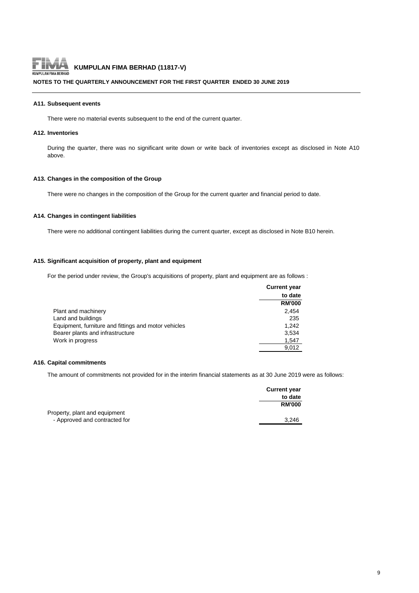

#### **NOTES TO THE QUARTERLY ANNOUNCEMENT FOR THE FIRST QUARTER ENDED 30 JUNE 2019**

### **A11. Subsequent events**

There were no material events subsequent to the end of the current quarter.

#### **A12. Inventories**

During the quarter, there was no significant write down or write back of inventories except as disclosed in Note A10 above.

#### **A13. Changes in the composition of the Group**

There were no changes in the composition of the Group for the current quarter and financial period to date.

#### **A14. Changes in contingent liabilities**

There were no additional contingent liabilities during the current quarter, except as disclosed in Note B10 herein.

#### **A15. Significant acquisition of property, plant and equipment**

For the period under review, the Group's acquisitions of property, plant and equipment are as follows :

|                                                      | <b>Current year</b> |
|------------------------------------------------------|---------------------|
|                                                      | to date             |
|                                                      | <b>RM'000</b>       |
| Plant and machinery                                  | 2.454               |
| Land and buildings                                   | 235                 |
| Equipment, furniture and fittings and motor vehicles | 1.242               |
| Bearer plants and infrastructure                     | 3,534               |
| Work in progress                                     | 1,547               |
|                                                      | 9.012               |

#### **A16. Capital commitments**

The amount of commitments not provided for in the interim financial statements as at 30 June 2019 were as follows:

|                               | <b>Current year</b> |
|-------------------------------|---------------------|
|                               | to date             |
|                               | <b>RM'000</b>       |
| Property, plant and equipment |                     |
| - Approved and contracted for | 3.246               |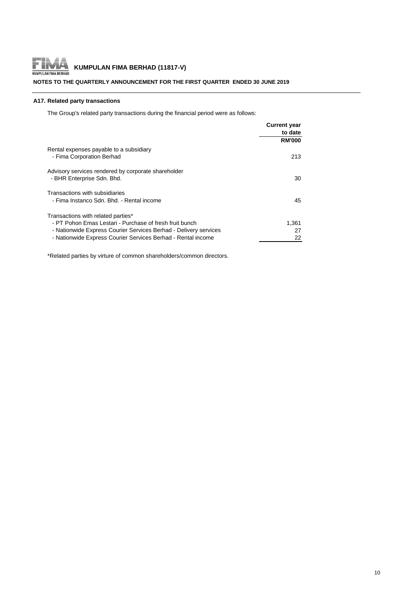

### **NOTES TO THE QUARTERLY ANNOUNCEMENT FOR THE FIRST QUARTER ENDED 30 JUNE 2019**

### **A17. Related party transactions**

The Group's related party transactions during the financial period were as follows:

|                                                                                   | <b>Current year</b> |
|-----------------------------------------------------------------------------------|---------------------|
|                                                                                   | to date             |
|                                                                                   | <b>RM'000</b>       |
| Rental expenses payable to a subsidiary<br>- Fima Corporation Berhad              | 213                 |
| Advisory services rendered by corporate shareholder<br>- BHR Enterprise Sdn. Bhd. | 30                  |
| Transactions with subsidiaries<br>- Fima Instanco Sdn. Bhd. - Rental income       | 45                  |
| Transactions with related parties*                                                |                     |
| - PT Pohon Emas Lestari - Purchase of fresh fruit bunch                           | 1,361               |
| - Nationwide Express Courier Services Berhad - Delivery services                  | 27                  |
| - Nationwide Express Courier Services Berhad - Rental income                      | 22                  |

\*Related parties by virture of common shareholders/common directors.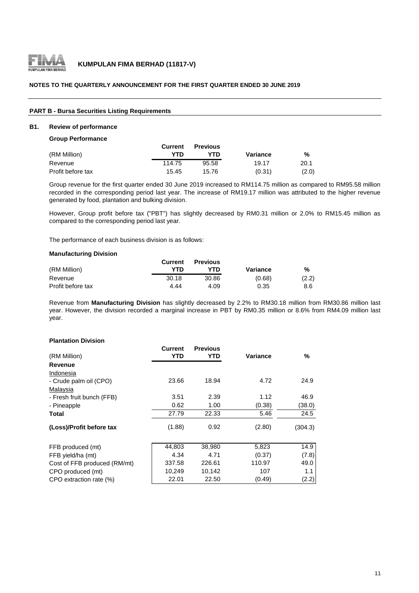

#### **NOTES TO THE QUARTERLY ANNOUNCEMENT FOR THE FIRST QUARTER ENDED 30 JUNE 2019**

### **PART B - Bursa Securities Listing Requirements**

#### **B1. Review of performance**

#### **Group Performance**

|                   | <b>Current</b> | <b>Previous</b> |          |       |
|-------------------|----------------|-----------------|----------|-------|
| (RM Million)      | YTD            | YTN             | Variance | %     |
| Revenue           | 114.75         | 95.58           | 19.17    | 20.1  |
| Profit before tax | 15.45          | 15.76           | (0.31)   | (2.0) |

Group revenue for the first quarter ended 30 June 2019 increased to RM114.75 million as compared to RM95.58 million recorded in the corresponding period last year. The increase of RM19.17 million was attributed to the higher revenue generated by food, plantation and bulking division.

However, Group profit before tax ("PBT") has slightly decreased by RM0.31 million or 2.0% to RM15.45 million as compared to the corresponding period last year.

The performance of each business division is as follows:

#### **Manufacturing Division**

|                   | Current | <b>Previous</b> |          |       |
|-------------------|---------|-----------------|----------|-------|
| (RM Million)      | YTD     | YTD             | Variance | %     |
| Revenue           | 30.18   | 30.86           | (0.68)   | (2.2) |
| Profit before tax | 4.44    | 4.09            | 0.35     | 8.6   |

Revenue from **Manufacturing Division** has slightly decreased by 2.2% to RM30.18 million from RM30.86 million last year. However, the division recorded a marginal increase in PBT by RM0.35 million or 8.6% from RM4.09 million last year.

#### **Plantation Division**

|                              | Current | <b>Previous</b> |          |         |
|------------------------------|---------|-----------------|----------|---------|
| (RM Million)                 | YTD     | YTD             | Variance | %       |
| Revenue                      |         |                 |          |         |
| Indonesia                    |         |                 |          |         |
| - Crude palm oil (CPO)       | 23.66   | 18.94           | 4.72     | 24.9    |
| Malaysia                     |         |                 |          |         |
| - Fresh fruit bunch (FFB)    | 3.51    | 2.39            | 1.12     | 46.9    |
| - Pineapple                  | 0.62    | 1.00            | (0.38)   | (38.0)  |
| Total                        | 27.79   | 22.33           | 5.46     | 24.5    |
| (Loss)/Profit before tax     | (1.88)  | 0.92            | (2.80)   | (304.3) |
| FFB produced (mt)            | 44,803  | 38,980          | 5,823    | 14.9    |
| FFB yield/ha (mt)            | 4.34    | 4.71            | (0.37)   | (7.8)   |
| Cost of FFB produced (RM/mt) | 337.58  | 226.61          | 110.97   | 49.0    |
| CPO produced (mt)            | 10,249  | 10,142          | 107      | 1.1     |
| CPO extraction rate (%)      | 22.01   | 22.50           | (0.49)   | (2.2)   |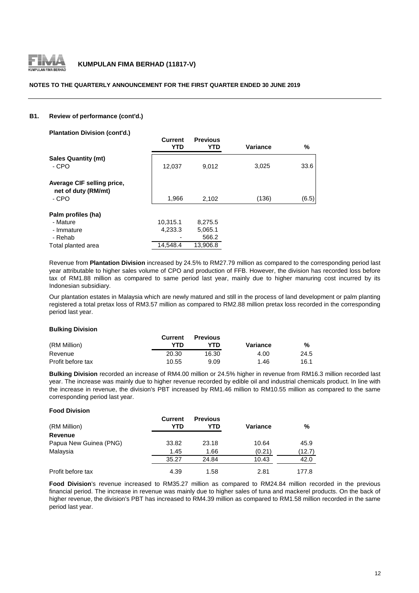

#### **NOTES TO THE QUARTERLY ANNOUNCEMENT FOR THE FIRST QUARTER ENDED 30 JUNE 2019**

#### **B1. Review of performance (cont'd.)**

**Plantation Division (cont'd.)**

| <b>Figure UNISION (COME U.)</b>                            | <b>Current</b><br><b>YTD</b> | <b>Previous</b><br>YTD      | <b>Variance</b> | %     |
|------------------------------------------------------------|------------------------------|-----------------------------|-----------------|-------|
| <b>Sales Quantity (mt)</b><br>- CPO                        | 12,037                       | 9,012                       | 3,025           | 33.6  |
| Average CIF selling price,<br>net of duty (RM/mt)<br>- CPO | 1,966                        | 2,102                       | (136)           | (6.5) |
| Palm profiles (ha)<br>- Mature<br>- Immature<br>- Rehab    | 10,315.1<br>4,233.3          | 8,275.5<br>5,065.1<br>566.2 |                 |       |
| Total planted area                                         | 14.548.4                     | 13.906.8                    |                 |       |

Revenue from **Plantation Division** increased by 24.5% to RM27.79 million as compared to the corresponding period last year attributable to higher sales volume of CPO and production of FFB. However, the division has recorded loss before tax of RM1.88 million as compared to same period last year, mainly due to higher manuring cost incurred by its Indonesian subsidiary.

Our plantation estates in Malaysia which are newly matured and still in the process of land development or palm planting registered a total pretax loss of RM3.57 million as compared to RM2.88 million pretax loss recorded in the corresponding period last year.

#### **Bulking Division**

|                   | Current | <b>Previous</b> |          |      |
|-------------------|---------|-----------------|----------|------|
| (RM Million)      | YTD     | YTN             | Variance | %    |
| Revenue           | 20.30   | 16.30           | 4.00     | 24.5 |
| Profit before tax | 10.55   | 9.09            | 1.46     | 16.1 |

**Bulking Division** recorded an increase of RM4.00 million or 24.5% higher in revenue from RM16.3 million recorded last year. The increase was mainly due to higher revenue recorded by edible oil and industrial chemicals product. In line with the increase in revenue, the division's PBT increased by RM1.46 million to RM10.55 million as compared to the same corresponding period last year.

#### **Food Division**

| (RM Million)           | <b>Current</b><br>YTD | <b>Previous</b><br>YTD | <b>Variance</b> | %      |
|------------------------|-----------------------|------------------------|-----------------|--------|
| Revenue                |                       |                        |                 |        |
| Papua New Guinea (PNG) | 33.82                 | 23.18                  | 10.64           | 45.9   |
| Malaysia               | 1.45                  | 1.66                   | (0.21)          | (12.7) |
|                        | 35.27                 | 24.84                  | 10.43           | 42.0   |
| Profit before tax      | 4.39                  | 1.58                   | 2.81            | 177.8  |

**Food Division**'s revenue increased to RM35.27 million as compared to RM24.84 million recorded in the previous financial period. The increase in revenue was mainly due to higher sales of tuna and mackerel products. On the back of higher revenue, the division's PBT has increased to RM4.39 million as compared to RM1.58 million recorded in the same period last year.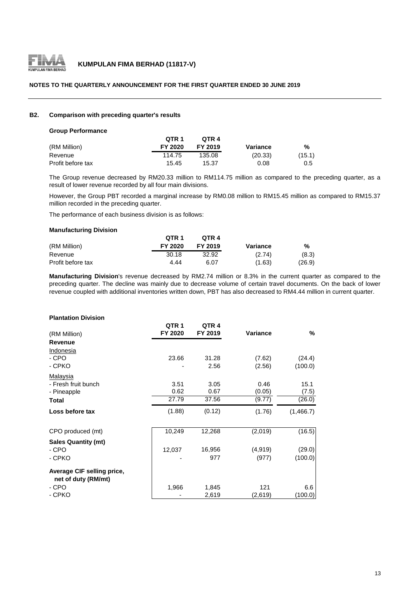

#### **NOTES TO THE QUARTERLY ANNOUNCEMENT FOR THE FIRST QUARTER ENDED 30 JUNE 2019**

#### **B2. Comparison with preceding quarter's results**

#### **Group Performance**

|                   | OTR <sub>1</sub> | OTR 4   |          |        |
|-------------------|------------------|---------|----------|--------|
| (RM Million)      | FY 2020          | FY 2019 | Variance | %      |
| Revenue           | 114.75           | 135.08  | (20.33)  | (15.1) |
| Profit before tax | 15.45            | 15.37   | 0.08     | 0.5    |

The Group revenue decreased by RM20.33 million to RM114.75 million as compared to the preceding quarter, as a result of lower revenue recorded by all four main divisions.

However, the Group PBT recorded a marginal increase by RM0.08 million to RM15.45 million as compared to RM15.37 million recorded in the preceding quarter.

The performance of each business division is as follows:

#### **Manufacturing Division**

|                   | OTR <sub>1</sub> | OTR 4   |          |        |
|-------------------|------------------|---------|----------|--------|
| (RM Million)      | FY 2020          | FY 2019 | Variance | %      |
| Revenue           | 30.18            | 32.92   | (2.74)   | (8.3)  |
| Profit before tax | 4.44             | 6.07    | (1.63)   | (26.9) |

**Manufacturing Division**'s revenue decreased by RM2.74 million or 8.3% in the current quarter as compared to the preceding quarter. The decline was mainly due to decrease volume of certain travel documents. On the back of lower revenue coupled with additional inventories written down, PBT has also decreased to RM4.44 million in current quarter.

#### **Plantation Division**

| (RM Million)                                      | QTR <sub>1</sub><br>FY 2020 | QTR <sub>4</sub><br>FY 2019 | Variance | %         |
|---------------------------------------------------|-----------------------------|-----------------------------|----------|-----------|
| <b>Revenue</b>                                    |                             |                             |          |           |
| Indonesia                                         |                             |                             |          |           |
| - CPO                                             | 23.66                       | 31.28                       | (7.62)   | (24.4)    |
| - CPKO                                            |                             | 2.56                        | (2.56)   | (100.0)   |
| Malaysia                                          |                             |                             |          |           |
| - Fresh fruit bunch                               | 3.51                        | 3.05                        | 0.46     | 15.1      |
| - Pineapple                                       | 0.62                        | 0.67                        | (0.05)   | (7.5)     |
| <b>Total</b>                                      | 27.79                       | 37.56                       | (9.77)   | (26.0)    |
| Loss before tax                                   | (1.88)                      | (0.12)                      | (1.76)   | (1,466.7) |
| CPO produced (mt)                                 | 10,249                      | 12,268                      | (2,019)  | (16.5)    |
| <b>Sales Quantity (mt)</b>                        |                             |                             |          |           |
| - CPO                                             | 12,037                      | 16,956                      | (4,919)  | (29.0)    |
| - CPKO                                            |                             | 977                         | (977)    | (100.0)   |
| Average CIF selling price,<br>net of duty (RM/mt) |                             |                             |          |           |
| - CPO                                             | 1,966                       | 1,845                       | 121      | 6.6       |
| - CPKO                                            |                             | 2,619                       | (2,619)  | (100.0)   |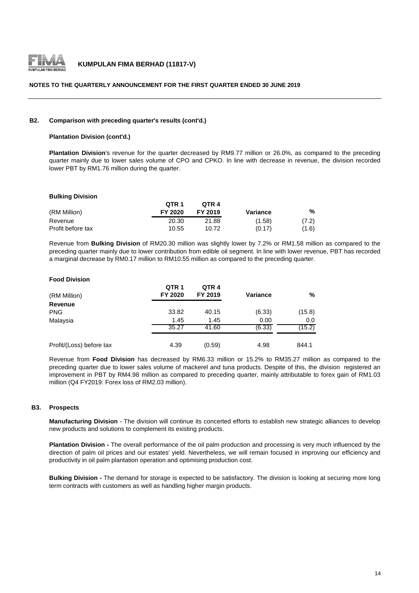

#### **NOTES TO THE QUARTERLY ANNOUNCEMENT FOR THE FIRST QUARTER ENDED 30 JUNE 2019**

#### **B2. Comparison with preceding quarter's results (cont'd.)**

#### **Plantation Division (cont'd.)**

**Plantation Division**'s revenue for the quarter decreased by RM9.77 million or 26.0%, as compared to the preceding quarter mainly due to lower sales volume of CPO and CPKO. In line with decrease in revenue, the division recorded lower PBT by RM1.76 million during the quarter.

#### **Bulking Division**

|                   | OTR <sub>1</sub> | OTR 4   |          |       |
|-------------------|------------------|---------|----------|-------|
| (RM Million)      | FY 2020          | FY 2019 | Variance | %     |
| Revenue           | 20.30            | 21.88   | (1.58)   | (7.2) |
| Profit before tax | 10.55            | 10.72   | (0.17)   | (1.6) |

Revenue from **Bulking Division** of RM20.30 million was slightly lower by 7.2% or RM1.58 million as compared to the preceding quarter mainly due to lower contribution from edible oil segment. In line with lower revenue, PBT has recorded a marginal decrease by RM0.17 million to RM10.55 million as compared to the preceding quarter.

#### **Food Division**

| (RM Million)             | QTR <sub>1</sub><br>FY 2020 | QTR <sub>4</sub><br>FY 2019 | <b>Variance</b> | %      |
|--------------------------|-----------------------------|-----------------------------|-----------------|--------|
| Revenue                  |                             |                             |                 |        |
| <b>PNG</b>               | 33.82                       | 40.15                       | (6.33)          | (15.8) |
| Malaysia                 | 1.45                        | 1.45                        | 0.00            | 0.0    |
|                          | 35.27                       | 41.60                       | (6.33)          | (15.2) |
| Profit/(Loss) before tax | 4.39                        | (0.59)                      | 4.98            | 844.1  |

Revenue from **Food Division** has decreased by RM6.33 million or 15.2% to RM35.27 million as compared to the preceding quarter due to lower sales volume of mackerel and tuna products. Despite of this, the division registered an improvement in PBT by RM4.98 million as compared to preceding quarter, mainly attributable to forex gain of RM1.03 million (Q4 FY2019: Forex loss of RM2.03 million).

#### **B3. Prospects**

**Manufacturing Division** - The division will continue its concerted efforts to establish new strategic alliances to develop new products and solutions to complement its existing products.

**Plantation Division -** The overall performance of the oil palm production and processing is very much influenced by the direction of palm oil prices and our estates' yield. Nevertheless, we will remain focused in improving our efficiency and productivity in oil palm plantation operation and optimising production cost.

**Bulking Division -** The demand for storage is expected to be satisfactory. The division is looking at securing more long term contracts with customers as well as handling higher margin products.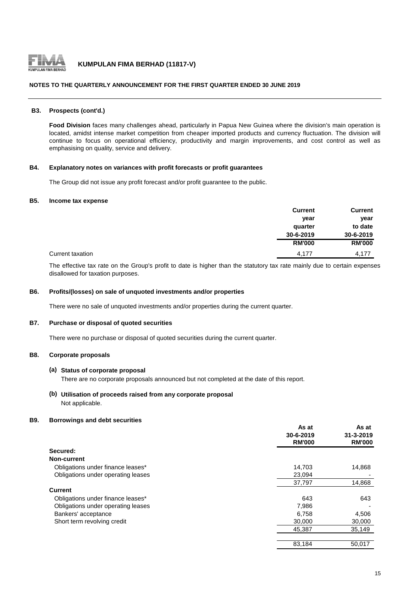

#### **NOTES TO THE QUARTERLY ANNOUNCEMENT FOR THE FIRST QUARTER ENDED 30 JUNE 2019**

#### **B3. Prospects (cont'd.)**

**Food Division** faces many challenges ahead, particularly in Papua New Guinea where the division's main operation is located, amidst intense market competition from cheaper imported products and currency fluctuation. The division will continue to focus on operational efficiency, productivity and margin improvements, and cost control as well as emphasising on quality, service and delivery.

#### **B4. Explanatory notes on variances with profit forecasts or profit guarantees**

The Group did not issue any profit forecast and/or profit guarantee to the public.

#### **B5. Income tax expense**

|                  | <b>Current</b> | <b>Current</b> |
|------------------|----------------|----------------|
|                  | year           | year           |
|                  | quarter        | to date        |
|                  | 30-6-2019      | 30-6-2019      |
|                  | <b>RM'000</b>  | <b>RM'000</b>  |
| Current taxation | 4,177          | 4.177          |

The effective tax rate on the Group's profit to date is higher than the statutory tax rate mainly due to certain expenses disallowed for taxation purposes.

#### **B6. Profits/(losses) on sale of unquoted investments and/or properties**

There were no sale of unquoted investments and/or properties during the current quarter.

#### **B7. Purchase or disposal of quoted securities**

There were no purchase or disposal of quoted securities during the current quarter.

### **B8. Corporate proposals**

#### **(a) Status of corporate proposal**

There are no corporate proposals announced but not completed at the date of this report.

#### **(b) Utilisation of proceeds raised from any corporate proposal** Not applicable.

#### **B9. Borrowings and debt securities**

|                                    | As at         | As at         |
|------------------------------------|---------------|---------------|
|                                    | 30-6-2019     | 31-3-2019     |
|                                    | <b>RM'000</b> | <b>RM'000</b> |
| Secured:                           |               |               |
| Non-current                        |               |               |
| Obligations under finance leases*  | 14,703        | 14,868        |
| Obligations under operating leases | 23,094        |               |
|                                    | 37,797        | 14,868        |
| <b>Current</b>                     |               |               |
| Obligations under finance leases*  | 643           | 643           |
| Obligations under operating leases | 7,986         |               |
| Bankers' acceptance                | 6,758         | 4,506         |
| Short term revolving credit        | 30,000        | 30,000        |
|                                    | 45,387        | 35,149        |
|                                    |               |               |
|                                    | 83,184        | 50,017        |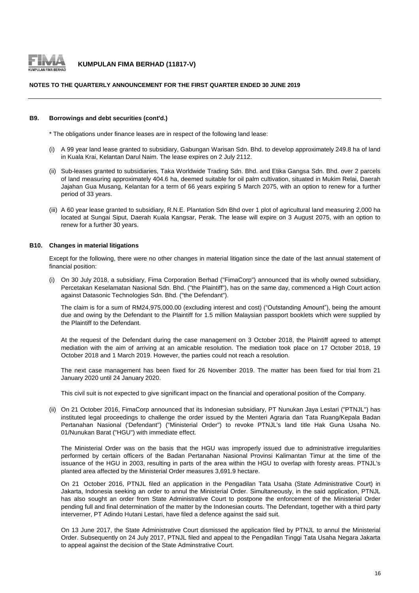

#### **NOTES TO THE QUARTERLY ANNOUNCEMENT FOR THE FIRST QUARTER ENDED 30 JUNE 2019**

#### **B9. Borrowings and debt securities (cont'd.)**

\* The obligations under finance leases are in respect of the following land lease:

- (i) A 99 year land lease granted to subsidiary, Gabungan Warisan Sdn. Bhd. to develop approximately 249.8 ha of land in Kuala Krai, Kelantan Darul Naim. The lease expires on 2 July 2112.
- (ii) Sub-leases granted to subsidiaries, Taka Worldwide Trading Sdn. Bhd. and Etika Gangsa Sdn. Bhd. over 2 parcels of land measuring approximately 404.6 ha, deemed suitable for oil palm cultivation, situated in Mukim Relai, Daerah Jajahan Gua Musang, Kelantan for a term of 66 years expiring 5 March 2075, with an option to renew for a further period of 33 years.
- (iii) A 60 year lease granted to subsidiary, R.N.E. Plantation Sdn Bhd over 1 plot of agricultural land measuring 2,000 ha located at Sungai Siput, Daerah Kuala Kangsar, Perak. The lease will expire on 3 August 2075, with an option to renew for a further 30 years.

#### **B10. Changes in material litigations**

Except for the following, there were no other changes in material litigation since the date of the last annual statement of financial position:

(i) On 30 July 2018, a subsidiary, Fima Corporation Berhad ("FimaCorp") announced that its wholly owned subsidiary, Percetakan Keselamatan Nasional Sdn. Bhd. ("the Plaintiff"), has on the same day, commenced a High Court action against Datasonic Technologies Sdn. Bhd. ("the Defendant").

The claim is for a sum of RM24,975,000.00 (excluding interest and cost) ("Outstanding Amount"), being the amount due and owing by the Defendant to the Plaintiff for 1.5 million Malaysian passport booklets which were supplied by the Plaintiff to the Defendant.

At the request of the Defendant during the case management on 3 October 2018, the Plaintiff agreed to attempt mediation with the aim of arriving at an amicable resolution. The mediation took place on 17 October 2018, 19 October 2018 and 1 March 2019. However, the parties could not reach a resolution.

The next case management has been fixed for 26 November 2019. The matter has been fixed for trial from 21 January 2020 until 24 January 2020.

This civil suit is not expected to give significant impact on the financial and operational position of the Company.

(ii) On 21 October 2016, FimaCorp announced that its Indonesian subsidiary, PT Nunukan Jaya Lestari ("PTNJL") has instituted legal proceedings to challenge the order issued by the Menteri Agraria dan Tata Ruang/Kepala Badan Pertanahan Nasional ('Defendant") ("Ministerial Order") to revoke PTNJL's land title Hak Guna Usaha No. 01/Nunukan Barat ("HGU") with immediate effect.

The Ministerial Order was on the basis that the HGU was improperly issued due to administrative irregularities performed by certain officers of the Badan Pertanahan Nasional Provinsi Kalimantan Timur at the time of the issuance of the HGU in 2003, resulting in parts of the area within the HGU to overlap with foresty areas. PTNJL's planted area affected by the Ministerial Order measures 3,691.9 hectare.

On 21 October 2016, PTNJL filed an application in the Pengadilan Tata Usaha (State Administrative Court) in Jakarta, Indonesia seeking an order to annul the Ministerial Order. Simultaneously, in the said application, PTNJL has also sought an order from State Administrative Court to postpone the enforcement of the Ministerial Order pending full and final determination of the matter by the Indonesian courts. The Defendant, together with a third party interverner, PT Adindo Hutani Lestari, have filed a defence against the said suit.

On 13 June 2017, the State Administrative Court dismissed the application filed by PTNJL to annul the Ministerial Order. Subsequently on 24 July 2017, PTNJL filed and appeal to the Pengadilan Tinggi Tata Usaha Negara Jakarta to appeal against the decision of the State Adminstrative Court.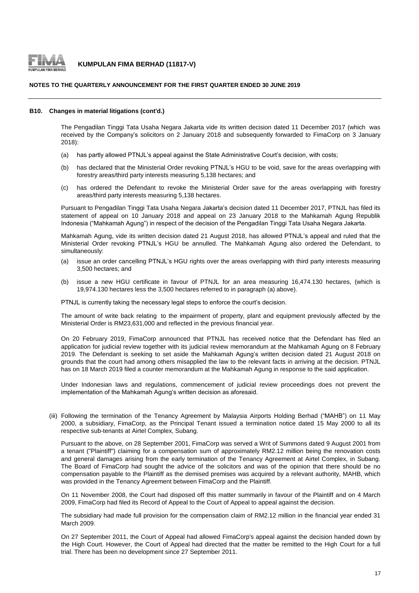

#### **NOTES TO THE QUARTERLY ANNOUNCEMENT FOR THE FIRST QUARTER ENDED 30 JUNE 2019**

#### **B10. Changes in material litigations (cont'd.)**

The Pengadilan Tinggi Tata Usaha Negara Jakarta vide its written decision dated 11 December 2017 (which was received by the Company's solicitors on 2 January 2018 and subsequently forwarded to FimaCorp on 3 January 2018):

- (a) has partly allowed PTNJL's appeal against the State Administrative Court's decision, with costs;
- (b) has declared that the Ministerial Order revoking PTNJL's HGU to be void, save for the areas overlapping with forestry areas/third party interests measuring 5,138 hectares; and
- $(c)$ has ordered the Defendant to revoke the Ministerial Order save for the areas overlapping with forestry areas/third party interests measuring 5,138 hectares.

Pursuant to Pengadilan Tinggi Tata Usaha Negara Jakarta's decision dated 11 December 2017, PTNJL has filed its statement of appeal on 10 January 2018 and appeal on 23 January 2018 to the Mahkamah Agung Republik Indonesia ("Mahkamah Agung") in respect of the decision of the Pengadilan Tinggi Tata Usaha Negara Jakarta.

Mahkamah Agung, vide its written decision dated 21 August 2018, has allowed PTNJL's appeal and ruled that the Ministerial Order revoking PTNJL's HGU be annulled. The Mahkamah Agung also ordered the Defendant, to simultaneously:

- $(a)$ issue an order cancelling PTNJL's HGU rights over the areas overlapping with third party interests measuring 3,500 hectares; and
- (b) issue a new HGU certificate in favour of PTNJL for an area measuring 16,474.130 hectares, (which is 19,974.130 hectares less the 3,500 hectares referred to in paragraph (a) above).

PTNJL is currently taking the necessary legal steps to enforce the court's decision.

The amount of write back relating to the impairment of property, plant and equipment previously affected by the Ministerial Order is RM23,631,000 and reflected in the previous financial year.

On 20 February 2019, FimaCorp announced that PTNJL has received notice that the Defendant has filed an application for judicial review together with its judicial review memorandum at the Mahkamah Agung on 8 February 2019. The Defendant is seeking to set aside the Mahkamah Agung's written decision dated 21 August 2018 on grounds that the court had among others misapplied the law to the relevant facts in arriving at the decision. PTNJL has on 18 March 2019 filed a counter memorandum at the Mahkamah Agung in response to the said application.

Under Indonesian laws and regulations, commencement of judicial review proceedings does not prevent the implementation of the Mahkamah Agung's written decision as aforesaid.

(iii) Following the termination of the Tenancy Agreement by Malaysia Airports Holding Berhad ("MAHB") on 11 May 2000, a subsidiary, FimaCorp, as the Principal Tenant issued a termination notice dated 15 May 2000 to all its respective sub-tenants at Airtel Complex, Subang.

Pursuant to the above, on 28 September 2001, FimaCorp was served a Writ of Summons dated 9 August 2001 from a tenant ("Plaintiff") claiming for a compensation sum of approximately RM2.12 million being the renovation costs and general damages arising from the early termination of the Tenancy Agreement at Airtel Complex, in Subang. The Board of FimaCorp had sought the advice of the solicitors and was of the opinion that there should be no compensation payable to the Plaintiff as the demised premises was acquired by a relevant authority, MAHB, which was provided in the Tenancy Agreement between FimaCorp and the Plaintiff.

On 11 November 2008, the Court had disposed off this matter summarily in favour of the Plaintiff and on 4 March 2009, FimaCorp had filed its Record of Appeal to the Court of Appeal to appeal against the decision.

The subsidiary had made full provision for the compensation claim of RM2.12 million in the financial year ended 31 March 2009.

On 27 September 2011, the Court of Appeal had allowed FimaCorp's appeal against the decision handed down by the High Court. However, the Court of Appeal had directed that the matter be remitted to the High Court for a full trial. There has been no development since 27 September 2011.